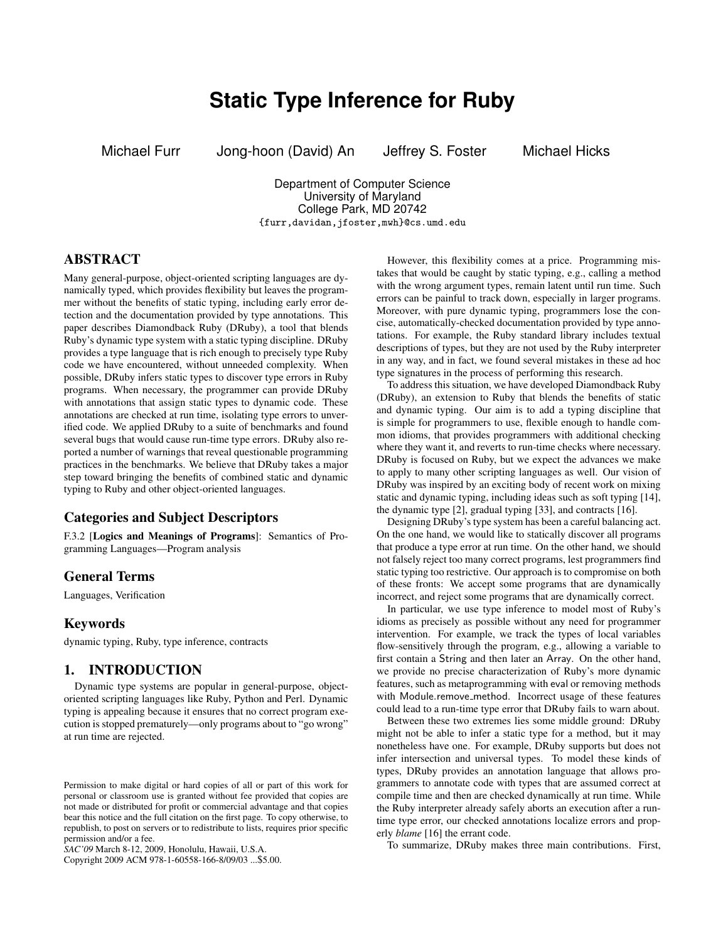# **Static Type Inference for Ruby**

Michael Furr Jong-hoon (David) An Jeffrey S. Foster Michael Hicks

Department of Computer Science University of Maryland College Park, MD 20742 {furr,davidan,jfoster,mwh}@cs.umd.edu

# ABSTRACT

Many general-purpose, object-oriented scripting languages are dynamically typed, which provides flexibility but leaves the programmer without the benefits of static typing, including early error detection and the documentation provided by type annotations. This paper describes Diamondback Ruby (DRuby), a tool that blends Ruby's dynamic type system with a static typing discipline. DRuby provides a type language that is rich enough to precisely type Ruby code we have encountered, without unneeded complexity. When possible, DRuby infers static types to discover type errors in Ruby programs. When necessary, the programmer can provide DRuby with annotations that assign static types to dynamic code. These annotations are checked at run time, isolating type errors to unverified code. We applied DRuby to a suite of benchmarks and found several bugs that would cause run-time type errors. DRuby also reported a number of warnings that reveal questionable programming practices in the benchmarks. We believe that DRuby takes a major step toward bringing the benefits of combined static and dynamic typing to Ruby and other object-oriented languages.

## Categories and Subject Descriptors

F.3.2 [Logics and Meanings of Programs]: Semantics of Programming Languages—Program analysis

### General Terms

Languages, Verification

## Keywords

dynamic typing, Ruby, type inference, contracts

### 1. INTRODUCTION

Dynamic type systems are popular in general-purpose, objectoriented scripting languages like Ruby, Python and Perl. Dynamic typing is appealing because it ensures that no correct program execution is stopped prematurely—only programs about to "go wrong" at run time are rejected.

*SAC'09* March 8-12, 2009, Honolulu, Hawaii, U.S.A.

Copyright 2009 ACM 978-1-60558-166-8/09/03 ...\$5.00.

However, this flexibility comes at a price. Programming mistakes that would be caught by static typing, e.g., calling a method with the wrong argument types, remain latent until run time. Such errors can be painful to track down, especially in larger programs. Moreover, with pure dynamic typing, programmers lose the concise, automatically-checked documentation provided by type annotations. For example, the Ruby standard library includes textual descriptions of types, but they are not used by the Ruby interpreter in any way, and in fact, we found several mistakes in these ad hoc type signatures in the process of performing this research.

To address this situation, we have developed Diamondback Ruby (DRuby), an extension to Ruby that blends the benefits of static and dynamic typing. Our aim is to add a typing discipline that is simple for programmers to use, flexible enough to handle common idioms, that provides programmers with additional checking where they want it, and reverts to run-time checks where necessary. DRuby is focused on Ruby, but we expect the advances we make to apply to many other scripting languages as well. Our vision of DRuby was inspired by an exciting body of recent work on mixing static and dynamic typing, including ideas such as soft typing [14], the dynamic type [2], gradual typing [33], and contracts [16].

Designing DRuby's type system has been a careful balancing act. On the one hand, we would like to statically discover all programs that produce a type error at run time. On the other hand, we should not falsely reject too many correct programs, lest programmers find static typing too restrictive. Our approach is to compromise on both of these fronts: We accept some programs that are dynamically incorrect, and reject some programs that are dynamically correct.

In particular, we use type inference to model most of Ruby's idioms as precisely as possible without any need for programmer intervention. For example, we track the types of local variables flow-sensitively through the program, e.g., allowing a variable to first contain a String and then later an Array. On the other hand, we provide no precise characterization of Ruby's more dynamic features, such as metaprogramming with eval or removing methods with Module.remove\_method. Incorrect usage of these features could lead to a run-time type error that DRuby fails to warn about.

Between these two extremes lies some middle ground: DRuby might not be able to infer a static type for a method, but it may nonetheless have one. For example, DRuby supports but does not infer intersection and universal types. To model these kinds of types, DRuby provides an annotation language that allows programmers to annotate code with types that are assumed correct at compile time and then are checked dynamically at run time. While the Ruby interpreter already safely aborts an execution after a runtime type error, our checked annotations localize errors and properly *blame* [16] the errant code.

To summarize, DRuby makes three main contributions. First,

Permission to make digital or hard copies of all or part of this work for personal or classroom use is granted without fee provided that copies are not made or distributed for profit or commercial advantage and that copies bear this notice and the full citation on the first page. To copy otherwise, to republish, to post on servers or to redistribute to lists, requires prior specific permission and/or a fee.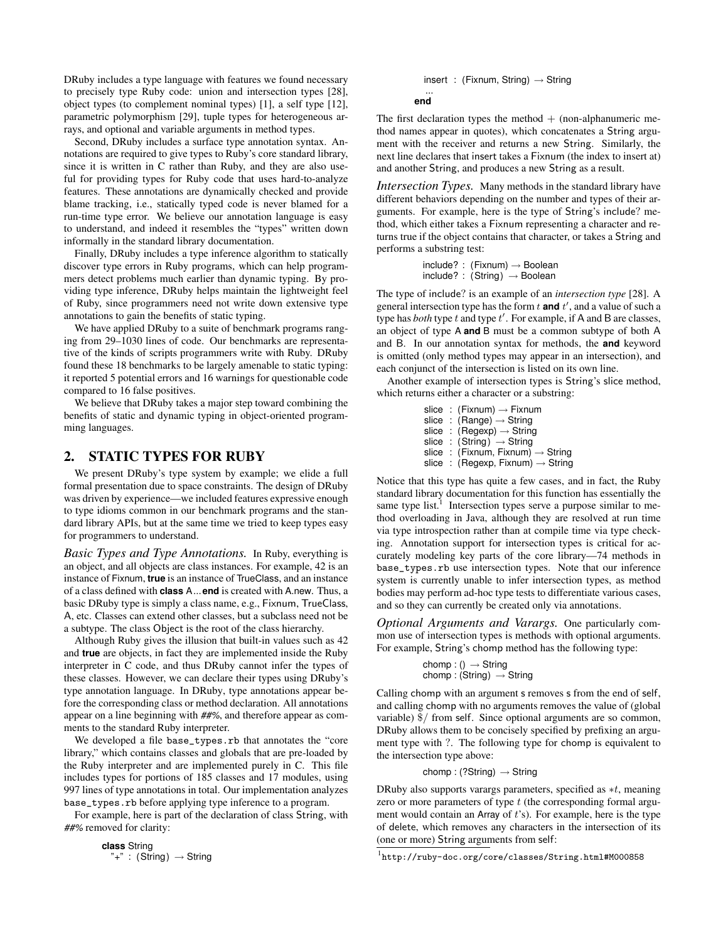DRuby includes a type language with features we found necessary to precisely type Ruby code: union and intersection types [28], object types (to complement nominal types) [1], a self type [12], parametric polymorphism [29], tuple types for heterogeneous arrays, and optional and variable arguments in method types.

Second, DRuby includes a surface type annotation syntax. Annotations are required to give types to Ruby's core standard library, since it is written in C rather than Ruby, and they are also useful for providing types for Ruby code that uses hard-to-analyze features. These annotations are dynamically checked and provide blame tracking, i.e., statically typed code is never blamed for a run-time type error. We believe our annotation language is easy to understand, and indeed it resembles the "types" written down informally in the standard library documentation.

Finally, DRuby includes a type inference algorithm to statically discover type errors in Ruby programs, which can help programmers detect problems much earlier than dynamic typing. By providing type inference, DRuby helps maintain the lightweight feel of Ruby, since programmers need not write down extensive type annotations to gain the benefits of static typing.

We have applied DRuby to a suite of benchmark programs ranging from 29–1030 lines of code. Our benchmarks are representative of the kinds of scripts programmers write with Ruby. DRuby found these 18 benchmarks to be largely amenable to static typing: it reported 5 potential errors and 16 warnings for questionable code compared to 16 false positives.

We believe that DRuby takes a major step toward combining the benefits of static and dynamic typing in object-oriented programming languages.

#### 2. STATIC TYPES FOR RUBY

We present DRuby's type system by example; we elide a full formal presentation due to space constraints. The design of DRuby was driven by experience—we included features expressive enough to type idioms common in our benchmark programs and the standard library APIs, but at the same time we tried to keep types easy for programmers to understand.

*Basic Types and Type Annotations.* In Ruby, everything is an object, and all objects are class instances. For example, 42 is an instance of Fixnum, **true** is an instance of TrueClass, and an instance of a class defined with **class** A...**end** is created with A.new. Thus, a basic DRuby type is simply a class name, e.g., Fixnum, TrueClass, A, etc. Classes can extend other classes, but a subclass need not be a subtype. The class Object is the root of the class hierarchy.

Although Ruby gives the illusion that built-in values such as 42 and **true** are objects, in fact they are implemented inside the Ruby interpreter in C code, and thus DRuby cannot infer the types of these classes. However, we can declare their types using DRuby's type annotation language. In DRuby, type annotations appear before the corresponding class or method declaration. All annotations appear on a line beginning with *##%*, and therefore appear as comments to the standard Ruby interpreter.

We developed a file base\_types.rb that annotates the "core library," which contains classes and globals that are pre-loaded by the Ruby interpreter and are implemented purely in C. This file includes types for portions of 185 classes and 17 modules, using 997 lines of type annotations in total. Our implementation analyzes base\_types.rb before applying type inference to a program.

For example, here is part of the declaration of class String, with *##%* removed for clarity:

> **class** String "+" : (String)  $\rightarrow$  String

#### insert : (Fixnum, String)  $\rightarrow$  String

... **end**

The first declaration types the method  $+$  (non-alphanumeric method names appear in quotes), which concatenates a String argument with the receiver and returns a new String. Similarly, the next line declares that insert takes a Fixnum (the index to insert at) and another String, and produces a new String as a result.

*Intersection Types.* Many methods in the standard library have different behaviors depending on the number and types of their arguments. For example, here is the type of String's include? method, which either takes a Fixnum representing a character and returns true if the object contains that character, or takes a String and performs a substring test:

> $include?$ : (Fixnum)  $\rightarrow$  Boolean  $include? : (String) \rightarrow Boolean$

The type of include? is an example of an *intersection type* [28]. A general intersection type has the form  $t$  and  $t'$ , and a value of such a type has *both* type  $t$  and type  $t'$ . For example, if A and B are classes, an object of type A **and** B must be a common subtype of both A and B. In our annotation syntax for methods, the **and** keyword is omitted (only method types may appear in an intersection), and each conjunct of the intersection is listed on its own line.

Another example of intersection types is String's slice method, which returns either a character or a substring:

| slice : (Fixnum) → Fixnum                     |
|-----------------------------------------------|
| slice : (Range) $\rightarrow$ String          |
| slice : (Regexp) $\rightarrow$ String         |
| slice : (String) $\rightarrow$ String         |
| slice : (Fixnum, Fixnum) $\rightarrow$ String |
| slice : (Regexp, Fixnum) → String             |
|                                               |

Notice that this type has quite a few cases, and in fact, the Ruby standard library documentation for this function has essentially the same type list.<sup>1</sup> Intersection types serve a purpose similar to method overloading in Java, although they are resolved at run time via type introspection rather than at compile time via type checking. Annotation support for intersection types is critical for accurately modeling key parts of the core library—74 methods in base\_types.rb use intersection types. Note that our inference system is currently unable to infer intersection types, as method bodies may perform ad-hoc type tests to differentiate various cases, and so they can currently be created only via annotations.

*Optional Arguments and Varargs.* One particularly common use of intersection types is methods with optional arguments. For example, String's chomp method has the following type:

chomp : () → String chomp : (String) → String

Calling chomp with an argument s removes s from the end of self, and calling chomp with no arguments removes the value of (global variable) \$/ from self. Since optional arguments are so common, DRuby allows them to be concisely specified by prefixing an argument type with ?. The following type for chomp is equivalent to the intersection type above:

chomp : (?String)  $\rightarrow$  String

DRuby also supports varargs parameters, specified as ∗t, meaning zero or more parameters of type  $t$  (the corresponding formal argument would contain an Array of  $t$ 's). For example, here is the type of delete, which removes any characters in the intersection of its (one or more) String arguments from self:

<sup>1</sup> http://ruby-doc.org/core/classes/String.html#M000858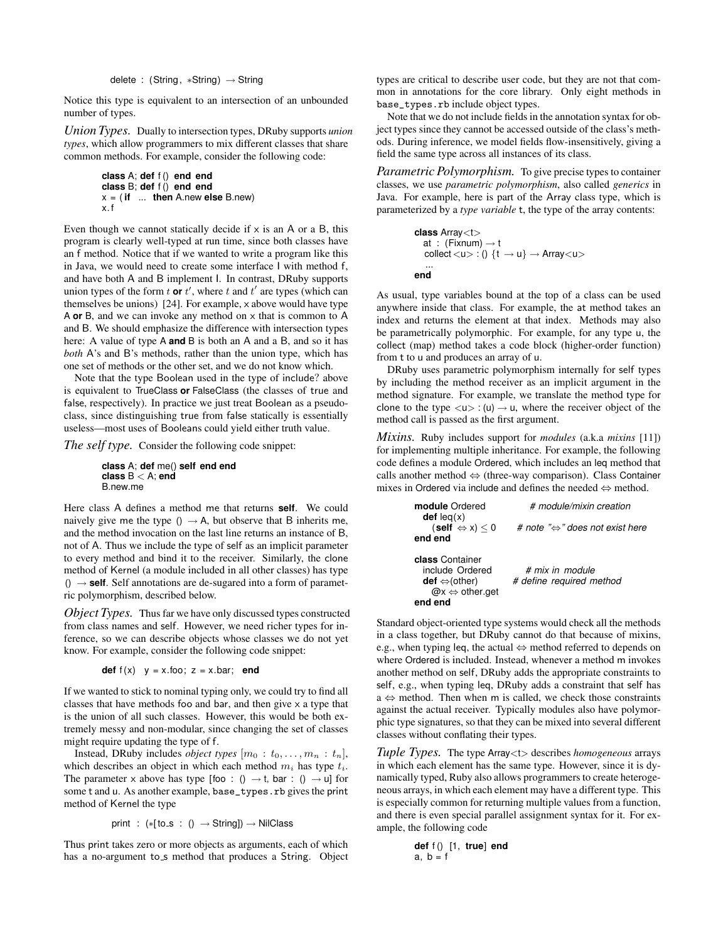```
delete : (String, ∗String) → String
```
Notice this type is equivalent to an intersection of an unbounded number of types.

*Union Types.* Dually to intersection types, DRuby supports *union types*, which allow programmers to mix different classes that share common methods. For example, consider the following code:

```
class A; def f () end end
class B; def f () end end
x = ( if ... then A.new else B.new)
x. f
```
Even though we cannot statically decide if  $x$  is an A or a B, this program is clearly well-typed at run time, since both classes have an f method. Notice that if we wanted to write a program like this in Java, we would need to create some interface I with method f, and have both A and B implement I. In contrast, DRuby supports union types of the form  $t$  or  $t'$ , where  $t$  and  $t'$  are types (which can themselves be unions) [24]. For example,  $\times$  above would have type A **or** B, and we can invoke any method on x that is common to A and B. We should emphasize the difference with intersection types here: A value of type A **and** B is both an A and a B, and so it has *both* A's and B's methods, rather than the union type, which has one set of methods or the other set, and we do not know which.

Note that the type Boolean used in the type of include? above is equivalent to TrueClass **or** FalseClass (the classes of true and false, respectively). In practice we just treat Boolean as a pseudoclass, since distinguishing true from false statically is essentially useless—most uses of Booleans could yield either truth value.

*The self type.* Consider the following code snippet:

```
class A; def me() self end end
class B < A; end
B.new.me
```
Here class A defines a method me that returns **self**. We could naively give me the type ()  $\rightarrow$  A, but observe that B inherits me, and the method invocation on the last line returns an instance of B, not of A. Thus we include the type of self as an implicit parameter to every method and bind it to the receiver. Similarly, the clone method of Kernel (a module included in all other classes) has type  $() \rightarrow$  **self**. Self annotations are de-sugared into a form of parametric polymorphism, described below.

*Object Types.* Thus far we have only discussed types constructed from class names and self. However, we need richer types for inference, so we can describe objects whose classes we do not yet know. For example, consider the following code snippet:

**def**  $f(x)$   $y = x foo$ ;  $z = x .bar$ ; **end** 

If we wanted to stick to nominal typing only, we could try to find all classes that have methods foo and bar, and then give x a type that is the union of all such classes. However, this would be both extremely messy and non-modular, since changing the set of classes might require updating the type of f.

Instead, DRuby includes *object types*  $[m_0 : t_0, \ldots, m_n : t_n]$ , which describes an object in which each method  $m_i$  has type  $t_i$ . The parameter x above has type [foo : ()  $\rightarrow$  t, bar : ()  $\rightarrow$  u] for some t and u. As another example, base\_types.rb gives the print method of Kernel the type

print :  $(*[to_s : () \rightarrow String]) \rightarrow NilClass$ 

Thus print takes zero or more objects as arguments, each of which has a no-argument to\_s method that produces a String. Object

types are critical to describe user code, but they are not that common in annotations for the core library. Only eight methods in base\_types.rb include object types.

Note that we do not include fields in the annotation syntax for object types since they cannot be accessed outside of the class's methods. During inference, we model fields flow-insensitively, giving a field the same type across all instances of its class.

*Parametric Polymorphism.* To give precise types to container classes, we use *parametric polymorphism*, also called *generics* in Java. For example, here is part of the Array class type, which is parameterized by a *type variable* t, the type of the array contents:

> **class** Array<t> at : (Fixnum)  $\rightarrow$  t collect</u>  $u$ : () {t  $\rightarrow$  u}  $\rightarrow$  Array $\lt$ u $>$ </u> ... **end**

As usual, type variables bound at the top of a class can be used anywhere inside that class. For example, the at method takes an index and returns the element at that index. Methods may also be parametrically polymorphic. For example, for any type u, the collect (map) method takes a code block (higher-order function) from t to u and produces an array of u.

DRuby uses parametric polymorphism internally for self types by including the method receiver as an implicit argument in the method signature. For example, we translate the method type for clone to the type  $\langle u \rangle$ : (u)  $\rightarrow$  u, where the receiver object of the method call is passed as the first argument.

*Mixins.* Ruby includes support for *modules* (a.k.a *mixins* [11]) for implementing multiple inheritance. For example, the following code defines a module Ordered, which includes an leq method that calls another method  $\Leftrightarrow$  (three-way comparison). Class Container mixes in Ordered via include and defines the needed  $\Leftrightarrow$  method.

| module Ordered<br>$def$ leg(x)                                                                                             | # module/mixin creation                          |  |  |  |
|----------------------------------------------------------------------------------------------------------------------------|--------------------------------------------------|--|--|--|
| $(self \Leftrightarrow x) \leq 0$                                                                                          | # note " $\Leftrightarrow$ " does not exist here |  |  |  |
| end end                                                                                                                    |                                                  |  |  |  |
| class Container<br>include Ordered<br>$\mathsf{def} \Leftrightarrow$ (other)<br>$\omega \approx \phi$ other get<br>end end | # mix in module<br># define required method      |  |  |  |

Standard object-oriented type systems would check all the methods in a class together, but DRuby cannot do that because of mixins, e.g., when typing leq, the actual ⇔ method referred to depends on where Ordered is included. Instead, whenever a method m invokes another method on self, DRuby adds the appropriate constraints to self, e.g., when typing leq, DRuby adds a constraint that self has a ⇔ method. Then when m is called, we check those constraints against the actual receiver. Typically modules also have polymorphic type signatures, so that they can be mixed into several different classes without conflating their types.

*Tuple Types.* The type Array<t> describes *homogeneous* arrays in which each element has the same type. However, since it is dynamically typed, Ruby also allows programmers to create heterogeneous arrays, in which each element may have a different type. This is especially common for returning multiple values from a function, and there is even special parallel assignment syntax for it. For example, the following code

```
def f () [1, true] end
a, b = f
```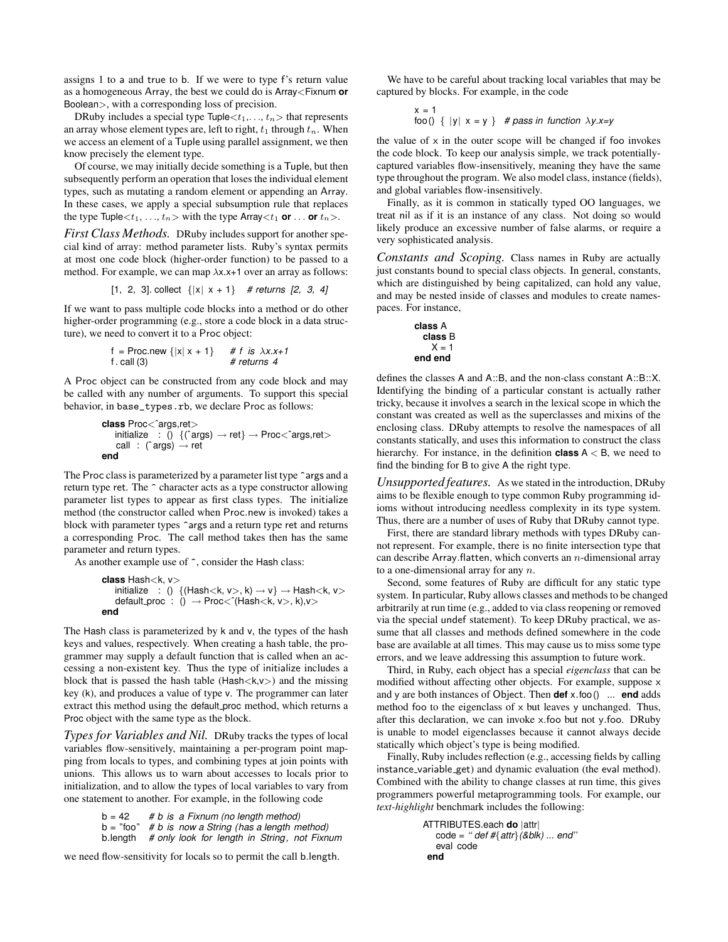assigns 1 to a and true to b. If we were to type f's return value as a homogeneous Array, the best we could do is Array<Fixnum **or** Boolean>, with a corresponding loss of precision.

DRuby includes a special type Tuple $\langle t_1, \ldots, t_n \rangle$  that represents an array whose element types are, left to right,  $t_1$  through  $t_n$ . When we access an element of a Tuple using parallel assignment, we then know precisely the element type.

Of course, we may initially decide something is a Tuple, but then subsequently perform an operation that loses the individual element types, such as mutating a random element or appending an Array. In these cases, we apply a special subsumption rule that replaces the type Tuple $with the type Array $or  $\ldots$  or  $t_n$ .$$ 

*First Class Methods.* DRuby includes support for another special kind of array: method parameter lists. Ruby's syntax permits at most one code block (higher-order function) to be passed to a method. For example, we can map  $\lambda x.x+1$  over an array as follows:

$$
[1, 2, 3]
$$
 collect  $\{|x| x + 1\}$  # returns  $[2, 3, 4]$ 

If we want to pass multiple code blocks into a method or do other higher-order programming (e.g., store a code block in a data structure), we need to convert it to a Proc object:

$$
f = \text{Proc.new } \{|x| \ x + 1\} \quad \text{# } f \text{ is } \lambda x.x + 1
$$
\n
$$
f \text{. call (3)} \quad \text{# returns 4}
$$

A Proc object can be constructed from any code block and may be called with any number of arguments. To support this special behavior, in base\_types.rb, we declare Proc as follows:

| class Proc $\hat{arg}$ , ret> | initialize | ;   | ();  | {'args} | to ret} | ... | Proof $\hat{arg}$ , ret> |
|-------------------------------|------------|-----|------|---------|---------|-----|--------------------------|
| call                          | ;          | ;   | args | to ret  |         |     |                          |
| end                           | ...        | ... | ...  | ...     |         |     |                          |

The Proc class is parameterized by a parameter list type  $\hat{ }$  args and a return type ret. The ^ character acts as a type constructor allowing parameter list types to appear as first class types. The initialize method (the constructor called when Proc.new is invoked) takes a block with parameter types ^args and a return type ret and returns a corresponding Proc. The call method takes then has the same parameter and return types.

As another example use of  $\hat{ }$ , consider the Hash class:

```
class Hash<k, v>
    initialize : () \{(\text{Hash} < k, v > k) \rightarrow v\} \rightarrow \text{Hash} < k, v >default proc : () → Proc<ˆ(Hash<k, v>, k),v>
end
```
The Hash class is parameterized by k and v, the types of the hash keys and values, respectively. When creating a hash table, the programmer may supply a default function that is called when an accessing a non-existent key. Thus the type of initialize includes a block that is passed the hash table (Hash $\langle k,v \rangle$ ) and the missing key (k), and produces a value of type v. The programmer can later extract this method using the default proc method, which returns a Proc object with the same type as the block.

*Types for Variables and Nil.* DRuby tracks the types of local variables flow-sensitively, maintaining a per-program point mapping from locals to types, and combining types at join points with unions. This allows us to warn about accesses to locals prior to initialization, and to allow the types of local variables to vary from one statement to another. For example, in the following code

> b = 42 *# b is a Fixnum (no length method)* # b is now a String (has a length method) b.length *# only look for length in String, not Fixnum*

we need flow-sensitivity for locals so to permit the call b.length.

We have to be careful about tracking local variables that may be captured by blocks. For example, in the code

> $x = 1$ foo ()  $\{ |y| x = y \}$  # pass in function  $\lambda y.x=y$

the value of  $x$  in the outer scope will be changed if foo invokes the code block. To keep our analysis simple, we track potentiallycaptured variables flow-insensitively, meaning they have the same type throughout the program. We also model class, instance (fields), and global variables flow-insensitively.

Finally, as it is common in statically typed OO languages, we treat nil as if it is an instance of any class. Not doing so would likely produce an excessive number of false alarms, or require a very sophisticated analysis.

*Constants and Scoping.* Class names in Ruby are actually just constants bound to special class objects. In general, constants, which are distinguished by being capitalized, can hold any value, and may be nested inside of classes and modules to create namespaces. For instance,

$$
class Aclass B
$$
X = 1end end
$$
$$

defines the classes A and A::B, and the non-class constant A::B::X. Identifying the binding of a particular constant is actually rather tricky, because it involves a search in the lexical scope in which the constant was created as well as the superclasses and mixins of the enclosing class. DRuby attempts to resolve the namespaces of all constants statically, and uses this information to construct the class hierarchy. For instance, in the definition **class** A < B, we need to find the binding for B to give A the right type.

*Unsupported features.* As we stated in the introduction, DRuby aims to be flexible enough to type common Ruby programming idioms without introducing needless complexity in its type system. Thus, there are a number of uses of Ruby that DRuby cannot type.

First, there are standard library methods with types DRuby cannot represent. For example, there is no finite intersection type that can describe Array.flatten, which converts an  $n$ -dimensional array to a one-dimensional array for any  $n$ .

Second, some features of Ruby are difficult for any static type system. In particular, Ruby allows classes and methods to be changed arbitrarily at run time (e.g., added to via class reopening or removed via the special undef statement). To keep DRuby practical, we assume that all classes and methods defined somewhere in the code base are available at all times. This may cause us to miss some type errors, and we leave addressing this assumption to future work.

Third, in Ruby, each object has a special *eigenclass* that can be modified without affecting other objects. For example, suppose x and y are both instances of Object. Then **def** x.foo () ... **end** adds method foo to the eigenclass of x but leaves y unchanged. Thus, after this declaration, we can invoke x.foo but not y.foo. DRuby is unable to model eigenclasses because it cannot always decide statically which object's type is being modified.

Finally, Ruby includes reflection (e.g., accessing fields by calling instance variable get) and dynamic evaluation (the eval method). Combined with the ability to change classes at run time, this gives programmers powerful metaprogramming tools. For example, our *text-highlight* benchmark includes the following:

```
ATTRIBUTES.each do |attr|
  code = '' def #{attr}(&blk) ... end''
  eval code
 end
```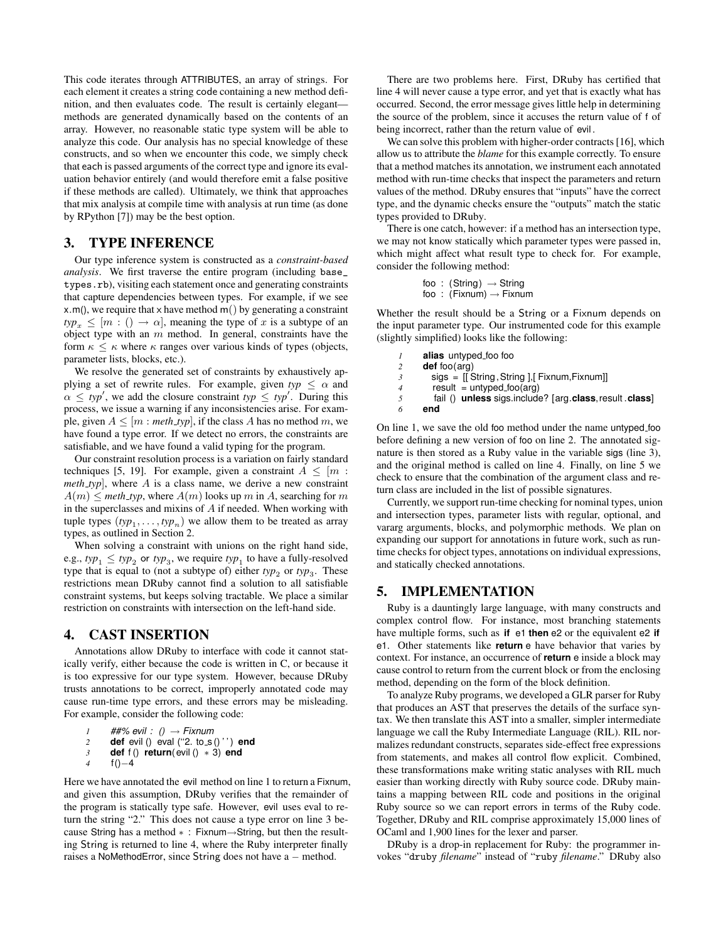This code iterates through ATTRIBUTES, an array of strings. For each element it creates a string code containing a new method definition, and then evaluates code. The result is certainly elegant methods are generated dynamically based on the contents of an array. However, no reasonable static type system will be able to analyze this code. Our analysis has no special knowledge of these constructs, and so when we encounter this code, we simply check that each is passed arguments of the correct type and ignore its evaluation behavior entirely (and would therefore emit a false positive if these methods are called). Ultimately, we think that approaches that mix analysis at compile time with analysis at run time (as done by RPython [7]) may be the best option.

# 3. TYPE INFERENCE

Our type inference system is constructed as a *constraint-based analysis*. We first traverse the entire program (including base\_ types.rb), visiting each statement once and generating constraints that capture dependencies between types. For example, if we see  $x.m()$ , we require that x have method  $m()$  by generating a constraint  $typ_x \leq [m : () \rightarrow \alpha]$ , meaning the type of x is a subtype of an object type with an  $m$  method. In general, constraints have the form  $\kappa \leq \kappa$  where  $\kappa$  ranges over various kinds of types (objects, parameter lists, blocks, etc.).

We resolve the generated set of constraints by exhaustively applying a set of rewrite rules. For example, given  $typ \leq \alpha$  and  $\alpha \leq typ'$ , we add the closure constraint  $typ \leq typ'$ . During this process, we issue a warning if any inconsistencies arise. For example, given  $A \leq [m : \text{meth\_typ}]$ , if the class A has no method m, we have found a type error. If we detect no errors, the constraints are satisfiable, and we have found a valid typing for the program.

Our constraint resolution process is a variation on fairly standard techniques [5, 19]. For example, given a constraint  $A \leq [m :$ *meth\_typ*], where  $A$  is a class name, we derive a new constraint  $A(m) \leq \text{meth\_typ}$ , where  $A(m)$  looks up m in A, searching for m in the superclasses and mixins of A if needed. When working with tuple types  $(typ_1, \ldots, typ_n)$  we allow them to be treated as array types, as outlined in Section 2.

When solving a constraint with unions on the right hand side, e.g.,  $typ_1 \leq typ_2$  or  $typ_3$ , we require  $typ_1$  to have a fully-resolved type that is equal to (not a subtype of) either  $typ_2$  or  $typ_3$ . These restrictions mean DRuby cannot find a solution to all satisfiable constraint systems, but keeps solving tractable. We place a similar restriction on constraints with intersection on the left-hand side.

## 4. CAST INSERTION

Annotations allow DRuby to interface with code it cannot statically verify, either because the code is written in C, or because it is too expressive for our type system. However, because DRuby trusts annotations to be correct, improperly annotated code may cause run-time type errors, and these errors may be misleading. For example, consider the following code:

```
1 ##% evil : () → Fixnum
```

```
2 def evil () eval ("2. to _s () '') end
```
*3* **def** f () **return**( evil () ∗ 3) **end**

```
f() - 4
```
Here we have annotated the evil method on line 1 to return a Fixnum, and given this assumption, DRuby verifies that the remainder of the program is statically type safe. However, evil uses eval to return the string "2." This does not cause a type error on line 3 because String has a method ∗ : Fixnum→String, but then the resulting String is returned to line 4, where the Ruby interpreter finally raises a NoMethodError, since String does not have a − method.

There are two problems here. First, DRuby has certified that line 4 will never cause a type error, and yet that is exactly what has occurred. Second, the error message gives little help in determining the source of the problem, since it accuses the return value of f of being incorrect, rather than the return value of evil .

We can solve this problem with higher-order contracts [16], which allow us to attribute the *blame* for this example correctly. To ensure that a method matches its annotation, we instrument each annotated method with run-time checks that inspect the parameters and return values of the method. DRuby ensures that "inputs" have the correct type, and the dynamic checks ensure the "outputs" match the static types provided to DRuby.

There is one catch, however: if a method has an intersection type, we may not know statically which parameter types were passed in, which might affect what result type to check for. For example, consider the following method:

$$
\begin{array}{l}\n\text{foo}: (\text{String}) \rightarrow \text{String} \\
\text{foo}: (\text{Fixnum}) \rightarrow \text{Fixnum}\n\end{array}
$$

Whether the result should be a String or a Fixnum depends on the input parameter type. Our instrumented code for this example (slightly simplified) looks like the following:

|                | alias untyped foo foo                                  |
|----------------|--------------------------------------------------------|
| 2              | $def$ foo $(arq)$                                      |
| $\beta$        | $sigs = [[String, String], [Fixnum, Fixnum]]$          |
| $\overline{4}$ | $result = untyped_foo(\text{arg})$                     |
| .5             | fail () unless sigs.include? [arg.class, result.class] |
| 6              | end                                                    |
|                |                                                        |

On line 1, we save the old foo method under the name untyped foo before defining a new version of foo on line 2. The annotated signature is then stored as a Ruby value in the variable sigs (line 3), and the original method is called on line 4. Finally, on line 5 we check to ensure that the combination of the argument class and return class are included in the list of possible signatures.

Currently, we support run-time checking for nominal types, union and intersection types, parameter lists with regular, optional, and vararg arguments, blocks, and polymorphic methods. We plan on expanding our support for annotations in future work, such as runtime checks for object types, annotations on individual expressions, and statically checked annotations.

## 5. IMPLEMENTATION

Ruby is a dauntingly large language, with many constructs and complex control flow. For instance, most branching statements have multiple forms, such as **if** e1 **then** e2 or the equivalent e2 **if** e1. Other statements like **return** e have behavior that varies by context. For instance, an occurrence of **return** e inside a block may cause control to return from the current block or from the enclosing method, depending on the form of the block definition.

To analyze Ruby programs, we developed a GLR parser for Ruby that produces an AST that preserves the details of the surface syntax. We then translate this AST into a smaller, simpler intermediate language we call the Ruby Intermediate Language (RIL). RIL normalizes redundant constructs, separates side-effect free expressions from statements, and makes all control flow explicit. Combined, these transformations make writing static analyses with RIL much easier than working directly with Ruby source code. DRuby maintains a mapping between RIL code and positions in the original Ruby source so we can report errors in terms of the Ruby code. Together, DRuby and RIL comprise approximately 15,000 lines of OCaml and 1,900 lines for the lexer and parser.

DRuby is a drop-in replacement for Ruby: the programmer invokes "druby *filename*" instead of "ruby *filename*." DRuby also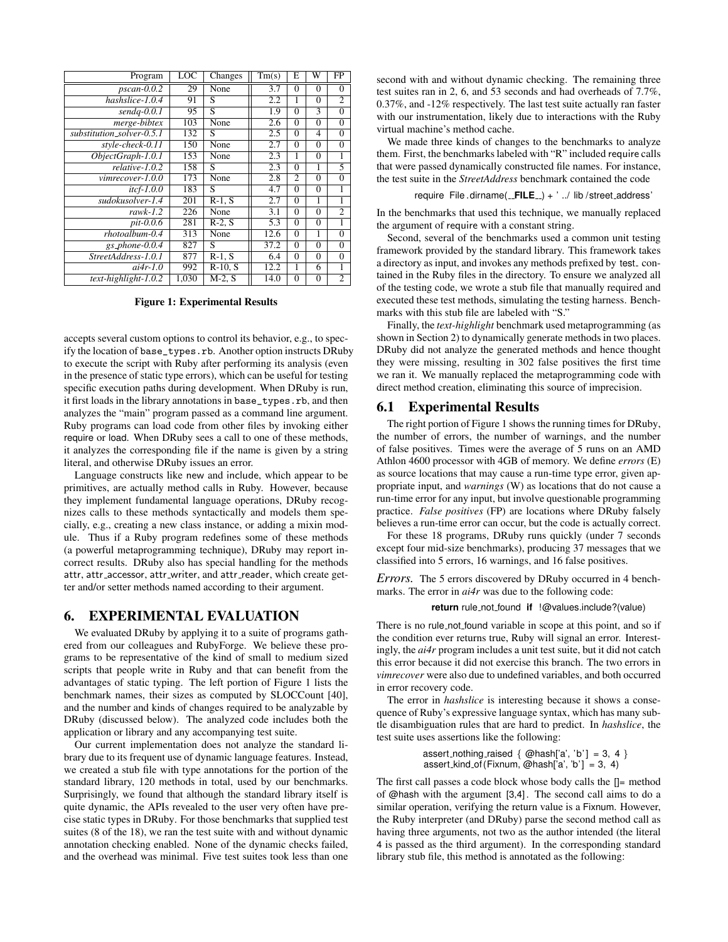| Program                   | LOC   | Changes   | $\overline{T}m(s)$ | E        | W              | FP             |
|---------------------------|-------|-----------|--------------------|----------|----------------|----------------|
| $pscan-0.0.2$             | 29    | None      | 3.7                | $\Omega$ | $\Omega$       | $\theta$       |
| hashslice-1.0.4           | 91    | S         | 2.2                | 1        | $\overline{0}$ | $\overline{2}$ |
| $sendq-0.0.1$             | 95    | S         | 1.9                | $\theta$ | 3              | $\theta$       |
| merge-bibtex              | 103   | None      | 2.6                | $\Omega$ | $\theta$       | $\overline{0}$ |
| substitution_solver-0.5.1 | 132   | S         | 2.5                | $\Omega$ | 4              | $\theta$       |
| style-check-0.11          | 150   | None      | 2.7                | $\Omega$ | $\theta$       | $\theta$       |
| ObjectGraph-1.0.1         | 153   | None      | 2.3                | 1        | $\Omega$       | 1              |
| $relative-1.0.2$          | 158   | S         | 2.3                | $\theta$ | 1              | 5              |
| vimrecover-1.0.0          | 173   | None      | 2.8                | 2        | $\Omega$       | $\theta$       |
| $itcf-1.0.0$              | 183   | S         | 4.7                | $\Omega$ | $\theta$       | 1              |
| sudokusolver-1.4          | 201   | $R-1$ , S | 2.7                | $\theta$ | 1              | 1              |
| $rawk-1.2$                | 226   | None      | 3.1                | $\Omega$ | $\Omega$       | $\overline{c}$ |
| $pit-0.0.6$               | 281   | $R-2, S$  | 5.3                | $\theta$ | $\Omega$       | 1              |
| rhotoalbum-0.4            | 313   | None      | 12.6               | $\theta$ | 1              | $\theta$       |
| $gs$ -phone-0.0.4         | 827   | S         | 37.2               | $\Omega$ | $\theta$       | $\theta$       |
| StreetAddress-1.0.1       | 877   | $R-1$ , S | 6.4                | $\Omega$ | $\theta$       | $\theta$       |
| $ai4r-1.0$                | 992   | $R-10S$   | 12.2               | 1        | 6              | 1              |
| $text$ -highlight-1.0.2   | 1,030 | $M-2$ , S | 14.0               | $\theta$ | 0              | $\overline{c}$ |

Figure 1: Experimental Results

accepts several custom options to control its behavior, e.g., to specify the location of base\_types.rb. Another option instructs DRuby to execute the script with Ruby after performing its analysis (even in the presence of static type errors), which can be useful for testing specific execution paths during development. When DRuby is run, it first loads in the library annotations in base\_types.rb, and then analyzes the "main" program passed as a command line argument. Ruby programs can load code from other files by invoking either require or load. When DRuby sees a call to one of these methods, it analyzes the corresponding file if the name is given by a string literal, and otherwise DRuby issues an error.

Language constructs like new and include, which appear to be primitives, are actually method calls in Ruby. However, because they implement fundamental language operations, DRuby recognizes calls to these methods syntactically and models them specially, e.g., creating a new class instance, or adding a mixin module. Thus if a Ruby program redefines some of these methods (a powerful metaprogramming technique), DRuby may report incorrect results. DRuby also has special handling for the methods attr, attr\_accessor, attr\_writer, and attr\_reader, which create getter and/or setter methods named according to their argument.

## 6. EXPERIMENTAL EVALUATION

We evaluated DRuby by applying it to a suite of programs gathered from our colleagues and RubyForge. We believe these programs to be representative of the kind of small to medium sized scripts that people write in Ruby and that can benefit from the advantages of static typing. The left portion of Figure 1 lists the benchmark names, their sizes as computed by SLOCCount [40], and the number and kinds of changes required to be analyzable by DRuby (discussed below). The analyzed code includes both the application or library and any accompanying test suite.

Our current implementation does not analyze the standard library due to its frequent use of dynamic language features. Instead, we created a stub file with type annotations for the portion of the standard library, 120 methods in total, used by our benchmarks. Surprisingly, we found that although the standard library itself is quite dynamic, the APIs revealed to the user very often have precise static types in DRuby. For those benchmarks that supplied test suites (8 of the 18), we ran the test suite with and without dynamic annotation checking enabled. None of the dynamic checks failed, and the overhead was minimal. Five test suites took less than one

second with and without dynamic checking. The remaining three test suites ran in 2, 6, and 53 seconds and had overheads of 7.7%, 0.37%, and -12% respectively. The last test suite actually ran faster with our instrumentation, likely due to interactions with the Ruby virtual machine's method cache.

We made three kinds of changes to the benchmarks to analyze them. First, the benchmarks labeled with "R" included require calls that were passed dynamically constructed file names. For instance, the test suite in the *StreetAddress* benchmark contained the code

require File .dirname( **FILE** ) + ' ../ lib /street address'

In the benchmarks that used this technique, we manually replaced the argument of require with a constant string.

Second, several of the benchmarks used a common unit testing framework provided by the standard library. This framework takes a directory as input, and invokes any methods prefixed by test\_contained in the Ruby files in the directory. To ensure we analyzed all of the testing code, we wrote a stub file that manually required and executed these test methods, simulating the testing harness. Benchmarks with this stub file are labeled with "S."

Finally, the *text-highlight* benchmark used metaprogramming (as shown in Section 2) to dynamically generate methods in two places. DRuby did not analyze the generated methods and hence thought they were missing, resulting in 302 false positives the first time we ran it. We manually replaced the metaprogramming code with direct method creation, eliminating this source of imprecision.

#### 6.1 Experimental Results

The right portion of Figure 1 shows the running times for DRuby, the number of errors, the number of warnings, and the number of false positives. Times were the average of 5 runs on an AMD Athlon 4600 processor with 4GB of memory. We define *errors* (E) as source locations that may cause a run-time type error, given appropriate input, and *warnings* (W) as locations that do not cause a run-time error for any input, but involve questionable programming practice. *False positives* (FP) are locations where DRuby falsely believes a run-time error can occur, but the code is actually correct.

For these 18 programs, DRuby runs quickly (under 7 seconds except four mid-size benchmarks), producing 37 messages that we classified into 5 errors, 16 warnings, and 16 false positives.

*Errors.* The 5 errors discovered by DRuby occurred in 4 benchmarks. The error in *ai4r* was due to the following code:

#### **return** rule not found **if** !@values.include?(value)

There is no rule not found variable in scope at this point, and so if the condition ever returns true, Ruby will signal an error. Interestingly, the *ai4r* program includes a unit test suite, but it did not catch this error because it did not exercise this branch. The two errors in *vimrecover* were also due to undefined variables, and both occurred in error recovery code.

The error in *hashslice* is interesting because it shows a consequence of Ruby's expressive language syntax, which has many subtle disambiguation rules that are hard to predict. In *hashslice*, the test suite uses assertions like the following:

> assert\_nothing\_raised { @hash['a', 'b'] = 3, 4 } assert\_kind\_of (Fixnum, @hash['a', 'b'] = 3, 4)

The first call passes a code block whose body calls the []= method of @hash with the argument [3,4] . The second call aims to do a similar operation, verifying the return value is a Fixnum. However, the Ruby interpreter (and DRuby) parse the second method call as having three arguments, not two as the author intended (the literal 4 is passed as the third argument). In the corresponding standard library stub file, this method is annotated as the following: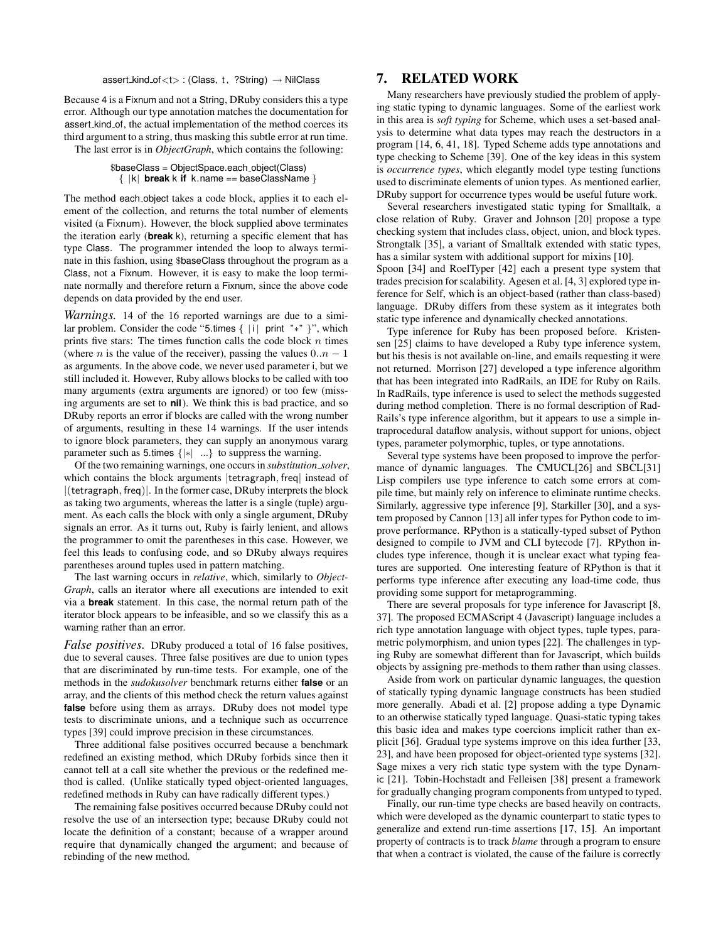assert\_kind\_of <t >: (Class, t, ?String)  $\rightarrow$  NilClass

Because 4 is a Fixnum and not a String, DRuby considers this a type error. Although our type annotation matches the documentation for assert kind of, the actual implementation of the method coerces its third argument to a string, thus masking this subtle error at run time.

The last error is in *ObjectGraph*, which contains the following:

\$baseClass = ObjectSpace.each object(Class) { |k| **break** k **if** k.name == baseClassName }

The method each object takes a code block, applies it to each element of the collection, and returns the total number of elements visited (a Fixnum). However, the block supplied above terminates the iteration early (**break** k), returning a specific element that has type Class. The programmer intended the loop to always terminate in this fashion, using \$baseClass throughout the program as a Class, not a Fixnum. However, it is easy to make the loop terminate normally and therefore return a Fixnum, since the above code depends on data provided by the end user.

*Warnings.* 14 of the 16 reported warnings are due to a similar problem. Consider the code "5.times { | i | print "∗" }", which prints five stars: The times function calls the code block  $n$  times (where *n* is the value of the receiver), passing the values  $0..n - 1$ as arguments. In the above code, we never used parameter i, but we still included it. However, Ruby allows blocks to be called with too many arguments (extra arguments are ignored) or too few (missing arguments are set to **nil**). We think this is bad practice, and so DRuby reports an error if blocks are called with the wrong number of arguments, resulting in these 14 warnings. If the user intends to ignore block parameters, they can supply an anonymous vararg parameter such as 5.times {|∗| ...} to suppress the warning.

Of the two remaining warnings, one occurs in *substitution solver*, which contains the block arguments |tetragraph, freq| instead of |(tetragraph, freq)|. In the former case, DRuby interprets the block as taking two arguments, whereas the latter is a single (tuple) argument. As each calls the block with only a single argument, DRuby signals an error. As it turns out, Ruby is fairly lenient, and allows the programmer to omit the parentheses in this case. However, we feel this leads to confusing code, and so DRuby always requires parentheses around tuples used in pattern matching.

The last warning occurs in *relative*, which, similarly to *Object-Graph*, calls an iterator where all executions are intended to exit via a **break** statement. In this case, the normal return path of the iterator block appears to be infeasible, and so we classify this as a warning rather than an error.

*False positives.* DRuby produced a total of 16 false positives, due to several causes. Three false positives are due to union types that are discriminated by run-time tests. For example, one of the methods in the *sudokusolver* benchmark returns either **false** or an array, and the clients of this method check the return values against **false** before using them as arrays. DRuby does not model type tests to discriminate unions, and a technique such as occurrence types [39] could improve precision in these circumstances.

Three additional false positives occurred because a benchmark redefined an existing method, which DRuby forbids since then it cannot tell at a call site whether the previous or the redefined method is called. (Unlike statically typed object-oriented languages, redefined methods in Ruby can have radically different types.)

The remaining false positives occurred because DRuby could not resolve the use of an intersection type; because DRuby could not locate the definition of a constant; because of a wrapper around require that dynamically changed the argument; and because of rebinding of the new method.

# 7. RELATED WORK

Many researchers have previously studied the problem of applying static typing to dynamic languages. Some of the earliest work in this area is *soft typing* for Scheme, which uses a set-based analysis to determine what data types may reach the destructors in a program [14, 6, 41, 18]. Typed Scheme adds type annotations and type checking to Scheme [39]. One of the key ideas in this system is *occurrence types*, which elegantly model type testing functions used to discriminate elements of union types. As mentioned earlier, DRuby support for occurrence types would be useful future work.

Several researchers investigated static typing for Smalltalk, a close relation of Ruby. Graver and Johnson [20] propose a type checking system that includes class, object, union, and block types. Strongtalk [35], a variant of Smalltalk extended with static types, has a similar system with additional support for mixins [10]. Spoon [34] and RoelTyper [42] each a present type system that trades precision for scalability. Agesen et al. [4, 3] explored type inference for Self, which is an object-based (rather than class-based) language. DRuby differs from these system as it integrates both static type inference and dynamically checked annotations.

Type inference for Ruby has been proposed before. Kristensen [25] claims to have developed a Ruby type inference system, but his thesis is not available on-line, and emails requesting it were not returned. Morrison [27] developed a type inference algorithm that has been integrated into RadRails, an IDE for Ruby on Rails. In RadRails, type inference is used to select the methods suggested during method completion. There is no formal description of Rad-Rails's type inference algorithm, but it appears to use a simple intraprocedural dataflow analysis, without support for unions, object types, parameter polymorphic, tuples, or type annotations.

Several type systems have been proposed to improve the performance of dynamic languages. The CMUCL[26] and SBCL[31] Lisp compilers use type inference to catch some errors at compile time, but mainly rely on inference to eliminate runtime checks. Similarly, aggressive type inference [9], Starkiller [30], and a system proposed by Cannon [13] all infer types for Python code to improve performance. RPython is a statically-typed subset of Python designed to compile to JVM and CLI bytecode [7]. RPython includes type inference, though it is unclear exact what typing features are supported. One interesting feature of RPython is that it performs type inference after executing any load-time code, thus providing some support for metaprogramming.

There are several proposals for type inference for Javascript [8, 37]. The proposed ECMAScript 4 (Javascript) language includes a rich type annotation language with object types, tuple types, parametric polymorphism, and union types [22]. The challenges in typing Ruby are somewhat different than for Javascript, which builds objects by assigning pre-methods to them rather than using classes.

Aside from work on particular dynamic languages, the question of statically typing dynamic language constructs has been studied more generally. Abadi et al. [2] propose adding a type Dynamic to an otherwise statically typed language. Quasi-static typing takes this basic idea and makes type coercions implicit rather than explicit [36]. Gradual type systems improve on this idea further [33, 23], and have been proposed for object-oriented type systems [32]. Sage mixes a very rich static type system with the type Dynamic [21]. Tobin-Hochstadt and Felleisen [38] present a framework for gradually changing program components from untyped to typed.

Finally, our run-time type checks are based heavily on contracts, which were developed as the dynamic counterpart to static types to generalize and extend run-time assertions [17, 15]. An important property of contracts is to track *blame* through a program to ensure that when a contract is violated, the cause of the failure is correctly